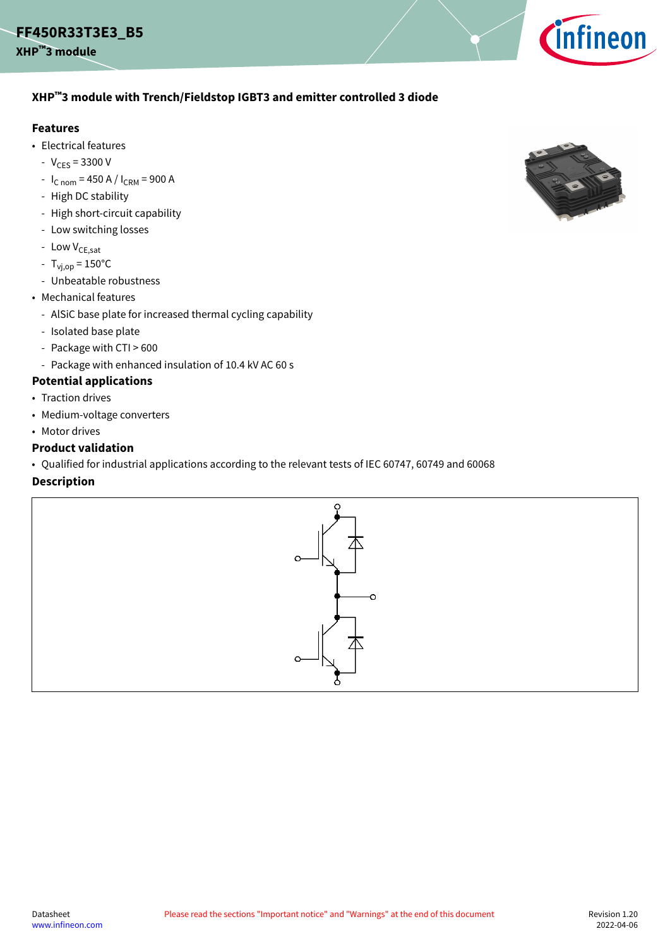

### <span id="page-0-0"></span>**XHP™3 module with Trench/Fieldstop IGBT3 and emitter controlled 3 diode**

#### **Features**

- Electrical features
	- $-V_{CES} = 3300 V$
	- $I_{C nom}$  = 450 A /  $I_{CRM}$  = 900 A
	- High DC stability
	- High short-circuit capability
	- Low switching losses
	- Low  $V_{CE,sat}$
	- $T_{\text{v}_1, \text{op}} = 150^{\circ} \text{C}$
	- Unbeatable robustness
- Mechanical features
	- AlSiC base plate for increased thermal cycling capability
	- Isolated base plate
	- Package with CTI > 600
	- Package with enhanced insulation of 10.4 kV AC 60 s

### **Potential applications**

- Traction drives
- Medium-voltage converters
- Motor drives

#### **Product validation**

• Qualified for industrial applications according to the relevant tests of IEC 60747, 60749 and 60068

#### **Description**



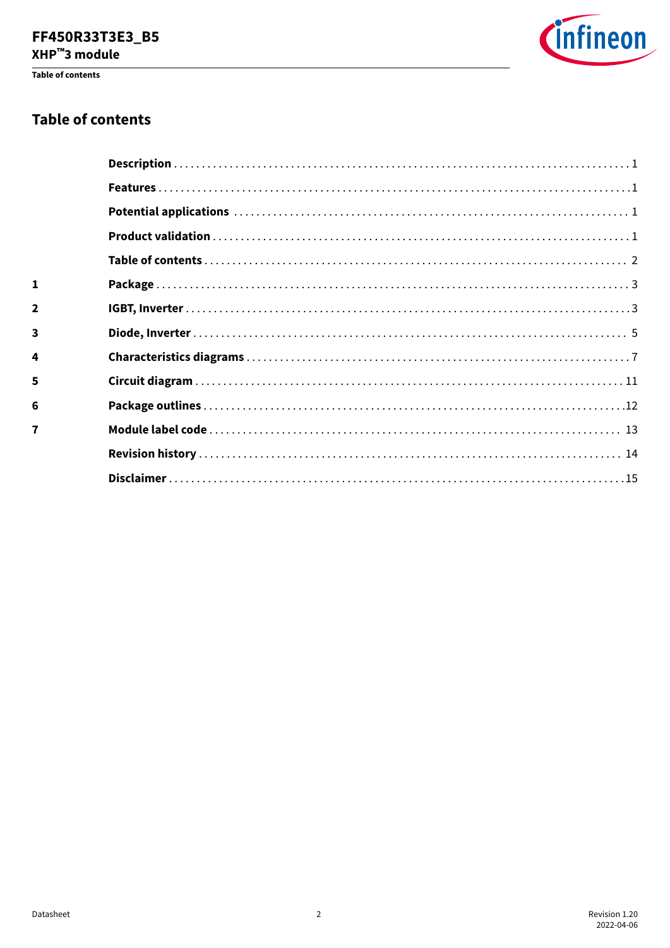# FF450R33T3E3\_B5

XHP™3 module

Table of contents



### **Table of contents**

| $\mathbf{1}$   |  |
|----------------|--|
| $\overline{2}$ |  |
| 3              |  |
| 4              |  |
| 5              |  |
| 6              |  |
| $\overline{7}$ |  |
|                |  |
|                |  |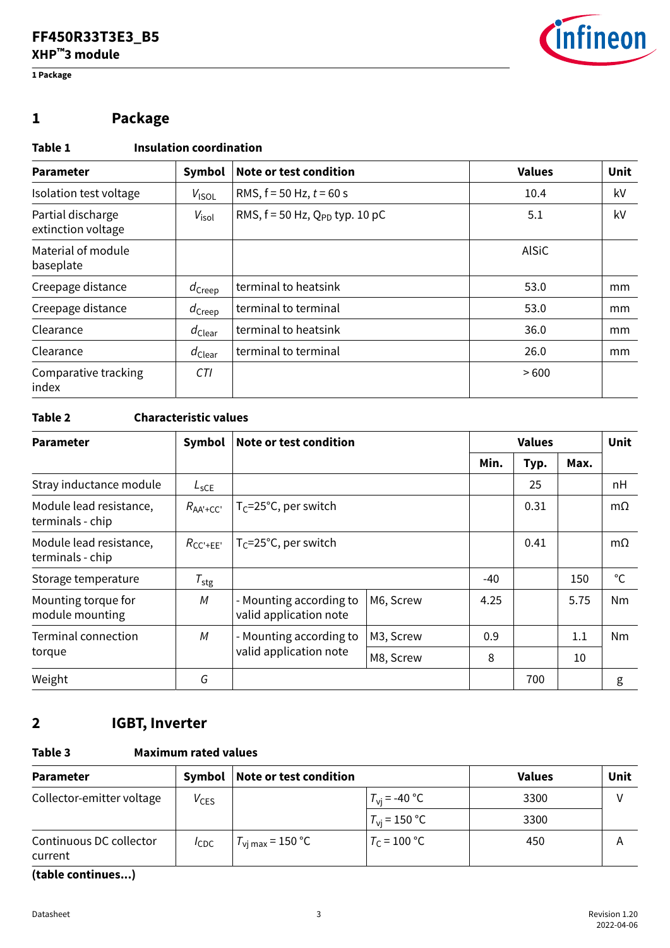<span id="page-2-0"></span>**1 Package**



# **1 Package**

### **Table 1 Insulation coordination**

| <b>Parameter</b>                        | Symbol               | Note or test condition                | <b>Values</b> | Unit |
|-----------------------------------------|----------------------|---------------------------------------|---------------|------|
| Isolation test voltage                  | $V_{ISOL}$           | RMS, $f = 50$ Hz, $t = 60$ s          | 10.4          | kV   |
| Partial discharge<br>extinction voltage | $V_{\text{isol}}$    | RMS, $f = 50$ Hz, $Q_{PD}$ typ. 10 pC | 5.1           | kV   |
| Material of module<br>baseplate         |                      |                                       | <b>AlSiC</b>  |      |
| Creepage distance                       | $d_{\text{Creep}}$   | terminal to heatsink                  | 53.0          | mm   |
| Creepage distance                       | $d_{\text{Creep}}$   | terminal to terminal                  | 53.0          | mm   |
| Clearance                               | $d_{\mathsf{Clear}}$ | terminal to heatsink                  | 36.0          | mm   |
| Clearance                               | $d_{\text{Clear}}$   | terminal to terminal                  | 26.0          | mm   |
| Comparative tracking<br>index           | CTI.                 |                                       | >600          |      |

### **Table 2 Characteristic values**

| <b>Parameter</b>                            | Symbol                      | Note or test condition                            |           | <b>Values</b> |      |      | <b>Unit</b>  |
|---------------------------------------------|-----------------------------|---------------------------------------------------|-----------|---------------|------|------|--------------|
|                                             |                             |                                                   |           | Min.          | Typ. | Max. |              |
| Stray inductance module                     | $L_{SCE}$                   |                                                   |           |               | 25   |      | nH           |
| Module lead resistance,<br>terminals - chip | $R_{AA'+CC'}$               | $T_C = 25^{\circ}C$ , per switch                  |           |               | 0.31 |      | $m\Omega$    |
| Module lead resistance,<br>terminals - chip | $R_{\text{CC}'+\text{EE}'}$ | $T_C = 25^{\circ}C$ , per switch                  |           |               | 0.41 |      | $m\Omega$    |
| Storage temperature                         | $T_{\text{stg}}$            |                                                   |           | $-40$         |      | 150  | $^{\circ}$ C |
| Mounting torque for<br>module mounting      | M                           | - Mounting according to<br>valid application note | M6, Screw | 4.25          |      | 5.75 | Nm.          |
| Terminal connection                         | M                           | - Mounting according to                           | M3, Screw | 0.9           |      | 1.1  | Nm           |
| torque                                      |                             | valid application note                            | M8, Screw | 8             |      | 10   |              |
| Weight                                      | G                           |                                                   |           |               | 700  |      | g            |

# **2 IGBT, Inverter**

### **Table 3 Maximum rated values**

| Symbol           |                             |                       | <b>Values</b>          | Unit |
|------------------|-----------------------------|-----------------------|------------------------|------|
| $V_{CES}$        |                             | $T_{\rm vi}$ = -40 °C | 3300                   |      |
|                  |                             | $T_{\rm vi}$ = 150 °C | 3300                   |      |
| $I_{\text{CDC}}$ | $T_{\rm{v}i\,max}$ = 150 °C | $T_c = 100 °C$        | 450                    | A    |
|                  |                             |                       | Note or test condition |      |

**(table continues...)**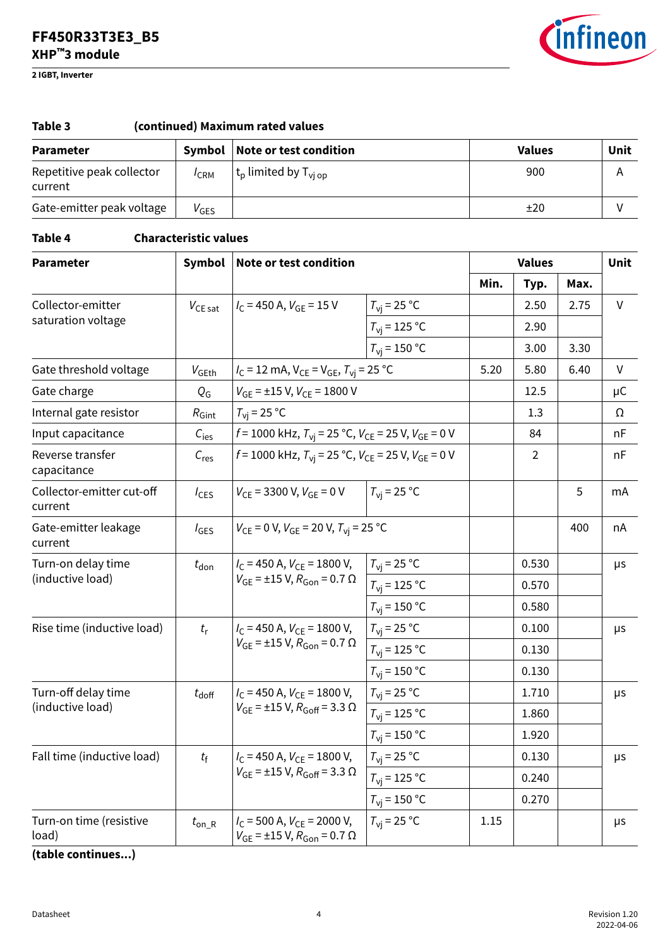**2 IGBT, Inverter**



| Table 3<br>(continued) Maximum rated values |                  |                                                  |               |      |  |  |
|---------------------------------------------|------------------|--------------------------------------------------|---------------|------|--|--|
| <b>Parameter</b>                            | Symbol           | Note or test condition                           | <b>Values</b> | Unit |  |  |
| Repetitive peak collector<br>current        | $I$ CRM          | $ $ t <sub>p</sub> limited by T <sub>vi op</sub> | 900           | Α    |  |  |
| Gate-emitter peak voltage                   | $V_{\text{GES}}$ |                                                  | ±20           |      |  |  |

#### **Table 4 Characteristic values**

| <b>Parameter</b>                       | Symbol              | Note or test condition                                                                    |                         | <b>Values</b> |       |      | Unit         |
|----------------------------------------|---------------------|-------------------------------------------------------------------------------------------|-------------------------|---------------|-------|------|--------------|
|                                        |                     |                                                                                           |                         | Min.          | Typ.  | Max. |              |
| Collector-emitter                      | $V_{CE\, sat}$      | $I_C$ = 450 A, $V_{GF}$ = 15 V                                                            | $T_{\rm{VI}}$ = 25 °C   |               | 2.50  | 2.75 | V            |
| saturation voltage                     |                     |                                                                                           | $T_{\rm{VI}}$ = 125 °C  |               | 2.90  |      |              |
|                                        |                     |                                                                                           | $T_{\rm vi}$ = 150 °C   |               | 3.00  | 3.30 |              |
| Gate threshold voltage                 | $V_{\mathsf{GEth}}$ | $I_C = 12$ mA, $V_{CE} = V_{GE}$ , $T_{vi} = 25$ °C                                       |                         | 5.20          | 5.80  | 6.40 | $\mathsf{V}$ |
| Gate charge                            | $Q_{\mathsf{G}}$    | $V_{GE}$ = ±15 V, $V_{CE}$ = 1800 V                                                       |                         |               | 12.5  |      | μC           |
| Internal gate resistor                 | $R_{\text{Gint}}$   | $T_{\rm vi}$ = 25 °C                                                                      |                         |               | 1.3   |      | Ω            |
| Input capacitance                      | $C_{\text{les}}$    | $f = 1000$ kHz, $T_{\text{vi}} = 25$ °C, $V_{\text{CE}} = 25$ V, $V_{\text{GE}} = 0$ V    |                         |               | 84    |      | nF           |
| Reverse transfer<br>capacitance        | $C_{res}$           | $f = 1000$ kHz, $T_{\text{vi}} = 25$ °C, $V_{\text{CE}} = 25$ V, $V_{\text{GE}} = 0$ V    |                         |               | 2     |      | nF           |
| Collector-emitter cut-off<br>current   | $I_{\text{CES}}$    | $V_{CF}$ = 3300 V, $V_{GF}$ = 0 V                                                         | $T_{\rm vi}$ = 25 °C    |               |       | 5    | mA           |
| Gate-emitter leakage<br>current        | $I_{\text{GES}}$    | $V_{CE}$ = 0 V, $V_{GE}$ = 20 V, $T_{vi}$ = 25 °C                                         |                         |               |       | 400  | nA           |
| Turn-on delay time<br>(inductive load) | $t_{\text{don}}$    | $I_C$ = 450 A, $V_{CF}$ = 1800 V,<br>$V_{GE}$ = ±15 V, $R_{Gon}$ = 0.7 $\Omega$           | $T_{\rm vj}$ = 25 °C    |               | 0.530 |      | μs           |
|                                        |                     |                                                                                           | $T_{\rm{VI}}$ = 125 °C  |               | 0.570 |      |              |
|                                        |                     |                                                                                           | $T_{\rm{VI}}$ = 150 °C  |               | 0.580 |      |              |
| Rise time (inductive load)             | $t_{\rm r}$         | $I_{C}$ = 450 A, $V_{CF}$ = 1800 V,<br>$V_{GE}$ = ±15 V, $R_{Gen}$ = 0.7 $\Omega$         | $T_{\text{vi}}$ = 25 °C |               | 0.100 |      | μs           |
|                                        |                     |                                                                                           | $T_{\rm{vi}}$ = 125 °C  |               | 0.130 |      |              |
|                                        |                     |                                                                                           | $T_{\rm{VI}}$ = 150 °C  |               | 0.130 |      |              |
| Turn-off delay time                    | $t_{\text{doff}}$   | $I_{\rm C}$ = 450 A, $V_{\rm CE}$ = 1800 V,                                               | $T_{\rm{vj}}$ = 25 °C   |               | 1.710 |      | μs           |
| (inductive load)                       |                     | $V_{GE}$ = ±15 V, $R_{Goff}$ = 3.3 $\Omega$                                               | $T_{\rm{VI}}$ = 125 °C  |               | 1.860 |      |              |
|                                        |                     |                                                                                           | $T_{\rm{vj}}$ = 150 °C  |               | 1.920 |      |              |
| Fall time (inductive load)             | $t_{\rm f}$         | $I_{\rm C}$ = 450 A, $V_{\rm CE}$ = 1800 V,                                               | $T_{\rm{VI}}$ = 25 °C   |               | 0.130 |      | μs           |
|                                        |                     | $V_{GE}$ = ±15 V, $R_{Goff}$ = 3.3 $\Omega$                                               | $T_{\rm{vi}}$ = 125 °C  |               | 0.240 |      |              |
|                                        |                     |                                                                                           | $T_{\rm{VI}}$ = 150 °C  |               | 0.270 |      |              |
| Turn-on time (resistive<br>load)       | $t_{\text{on}\_R}$  | $I_{\rm C}$ = 500 A, $V_{\rm CE}$ = 2000 V,<br>$V_{GE}$ = ±15 V, $R_{Gen}$ = 0.7 $\Omega$ | $T_{\rm vi}$ = 25 °C    | 1.15          |       |      | $\mu$ s      |

**(table continues...)**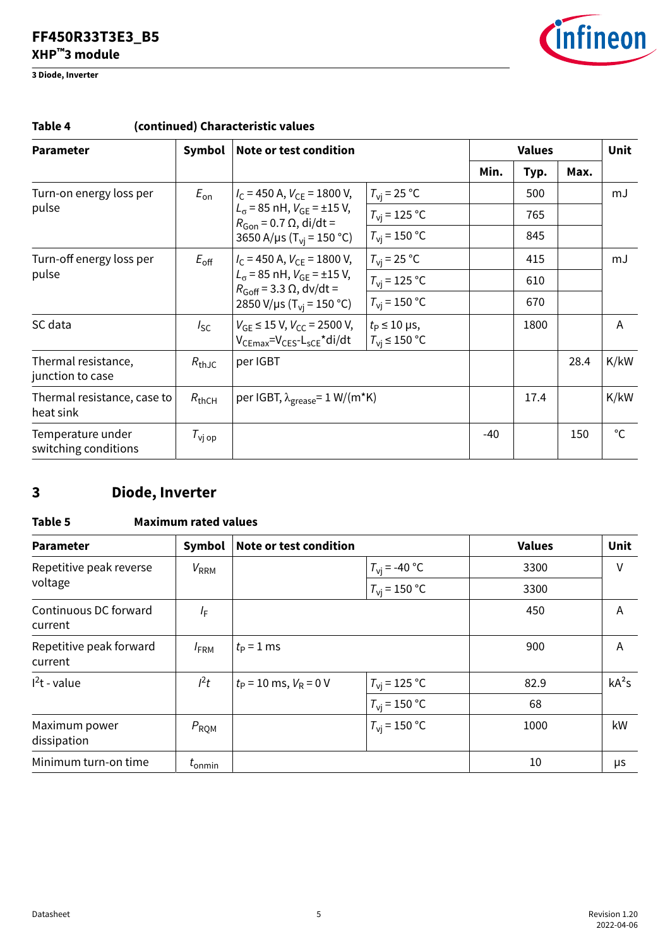<span id="page-4-0"></span>**3 Diode, Inverter**



| <b>Parameter</b>                          | Symbol             | Note or test condition                                                                |                                                     |       | <b>Values</b> |      |              |
|-------------------------------------------|--------------------|---------------------------------------------------------------------------------------|-----------------------------------------------------|-------|---------------|------|--------------|
|                                           |                    |                                                                                       |                                                     | Min.  | Max.<br>Typ.  |      |              |
| Turn-on energy loss per                   | $E_{\rm on}$       | $I_{\rm C}$ = 450 A, $V_{\rm CE}$ = 1800 V,                                           | $T_{\rm vi}$ = 25 °C                                |       | 500           |      | mJ           |
| pulse                                     |                    | $L_{\alpha}$ = 85 nH, $V_{GF}$ = ±15 V,<br>$R_{\text{Gon}} = 0.7 \Omega$ , di/dt =    | $T_{\rm vi}$ = 125 °C                               |       | 765           |      |              |
|                                           |                    | 3650 A/µs (T <sub>vi</sub> = 150 °C)                                                  | $T_{\rm vi}$ = 150 °C                               |       | 845           |      |              |
| Turn-off energy loss per<br>pulse         | $E_{\rm off}$      | $I_{\rm C}$ = 450 A, $V_{\rm CF}$ = 1800 V,                                           | $T_{\rm vi}$ = 25 °C                                |       | 415           |      | mJ           |
|                                           |                    | $L_{\sigma}$ = 85 nH, $V_{GF}$ = ±15 V,<br>$R_{\text{Goff}}$ = 3.3 $\Omega$ , dv/dt = | $T_{\rm{vi}}$ = 125 °C                              |       | 610           |      |              |
|                                           |                    | 2850 V/µs (T <sub>vi</sub> = 150 °C)                                                  | $T_{\rm vi}$ = 150 °C                               |       | 670           |      |              |
| SC data                                   | $I_{SC}$           | $V_{GF} \le 15$ V, $V_{CC}$ = 2500 V,<br>$V_{CFmax} = V_{CFS} - L_{SCF} * di/dt$      | $t_{\rm P} \leq 10$ µs,<br>$T_{\rm vi} \leq 150$ °C |       | 1800          |      | A            |
| Thermal resistance,<br>junction to case   | $R_{th,IC}$        | per IGBT                                                                              |                                                     |       |               | 28.4 | K/kW         |
| Thermal resistance, case to<br>heat sink  | $R_{thCH}$         | per IGBT, $\lambda_{\text{grease}} = 1 \text{ W/(m*K)}$                               |                                                     |       | 17.4          |      | K/kW         |
| Temperature under<br>switching conditions | $T_{\text{Vj op}}$ |                                                                                       |                                                     | $-40$ |               | 150  | $^{\circ}$ C |

### **Table 4 (continued) Characteristic values**

# **3 Diode, Inverter**

### **Table 5 Maximum rated values**

| <b>Parameter</b>                   | Symbol             | Note or test condition     |                        | <b>Values</b> | Unit    |
|------------------------------------|--------------------|----------------------------|------------------------|---------------|---------|
| Repetitive peak reverse            | $V_{RRM}$          |                            | $T_{\rm vj}$ = -40 °C  | 3300          | V       |
| voltage                            |                    |                            | $T_{\rm vi}$ = 150 °C  | 3300          |         |
| Continuous DC forward<br>current   | $l_{\mathsf{F}}$   |                            |                        | 450           | A       |
| Repetitive peak forward<br>current | $I_{\rm FRM}$      | $t_{\rm P}$ = 1 ms         |                        | 900           | A       |
| $12t$ - value                      | $l^2t$             | $t_P$ = 10 ms, $V_R$ = 0 V | $T_{\rm{VI}}$ = 125 °C | 82.9          | $kA^2s$ |
|                                    |                    |                            | $T_{\rm vi}$ = 150 °C  | 68            |         |
| Maximum power<br>dissipation       | $P_{\rm RQM}$      |                            | $T_{\rm vi}$ = 150 °C  | 1000          | kW      |
| Minimum turn-on time               | $t_{\text{onmin}}$ |                            |                        | 10            | μs      |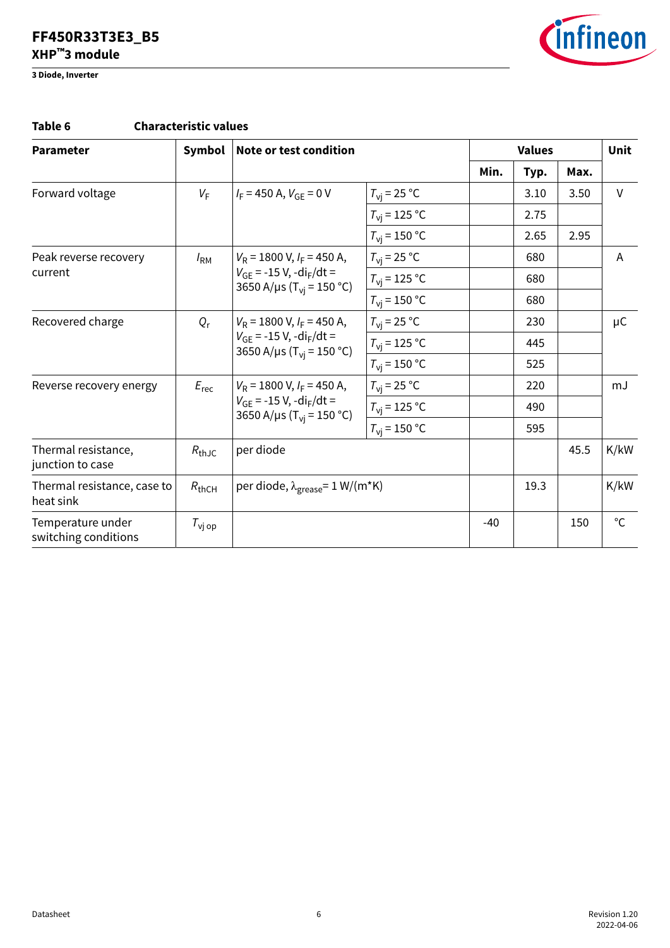**3 Diode, Inverter**



### **Table 6 Characteristic values**

| <b>Parameter</b>                          | Symbol                                  | Note or test condition                                                                                             |                        |       | <b>Values</b> |      |              |
|-------------------------------------------|-----------------------------------------|--------------------------------------------------------------------------------------------------------------------|------------------------|-------|---------------|------|--------------|
|                                           |                                         |                                                                                                                    |                        | Min.  | Typ.          | Max. |              |
| Forward voltage                           | $V_{\rm F}$                             | $I_F$ = 450 A, $V_{GF}$ = 0 V                                                                                      | $T_{\rm vi}$ = 25 °C   |       | 3.10          | 3.50 | $\vee$       |
|                                           |                                         |                                                                                                                    | $T_{\rm{vi}}$ = 125 °C |       | 2.75          |      |              |
|                                           |                                         |                                                                                                                    | $T_{\rm vi}$ = 150 °C  |       | 2.65          | 2.95 |              |
| Peak reverse recovery                     | $I_{\rm RM}$                            | $V_R$ = 1800 V, $I_F$ = 450 A,                                                                                     | $T_{\rm vi}$ = 25 °C   |       | 680           |      | A            |
| current                                   |                                         | $V_{GE}$ = -15 V, -di <sub>F</sub> /dt =<br>3650 A/µs (T <sub>vi</sub> = 150 °C)                                   | $T_{\rm vi}$ = 125 °C  |       | 680           |      |              |
|                                           |                                         |                                                                                                                    | $T_{\rm{vi}}$ = 150 °C |       | 680           |      |              |
| Recovered charge                          | $Q_{r}$                                 | $V_R$ = 1800 V, $I_F$ = 450 A,<br>$V_{GF}$ = -15 V, -di <sub>F</sub> /dt =<br>3650 A/µs (T <sub>vi</sub> = 150 °C) | $T_{\rm{vi}}$ = 25 °C  |       | 230           |      | $\mu$ C      |
|                                           |                                         |                                                                                                                    | $T_{\rm{VI}}$ = 125 °C |       | 445           |      |              |
|                                           |                                         |                                                                                                                    | $T_{\rm{vi}}$ = 150 °C |       | 525           |      |              |
| Reverse recovery energy                   | $E_{\text{rec}}$                        | $V_R$ = 1800 V, $I_F$ = 450 A,<br>$V_{GF}$ = -15 V, -di <sub>F</sub> /dt =<br>3650 A/µs ( $T_{vi}$ = 150 °C)       | $T_{\rm{vi}}$ = 25 °C  |       | 220           |      | mJ           |
|                                           |                                         |                                                                                                                    | $T_{\rm{vj}}$ = 125 °C |       | 490           |      |              |
|                                           |                                         |                                                                                                                    | $T_{\rm vi}$ = 150 °C  |       | 595           |      |              |
| Thermal resistance,<br>junction to case   | $R_{\text{thJC}}$                       | per diode                                                                                                          |                        |       |               | 45.5 | K/kW         |
| Thermal resistance, case to<br>heat sink  | $R_{thCH}$                              | per diode, $\lambda_{\text{grease}} = 1 \text{ W/(m*K)}$                                                           |                        |       | 19.3          |      | K/kW         |
| Temperature under<br>switching conditions | $\tau_{\scriptscriptstyle\text{Vj op}}$ |                                                                                                                    |                        | $-40$ |               | 150  | $^{\circ}$ C |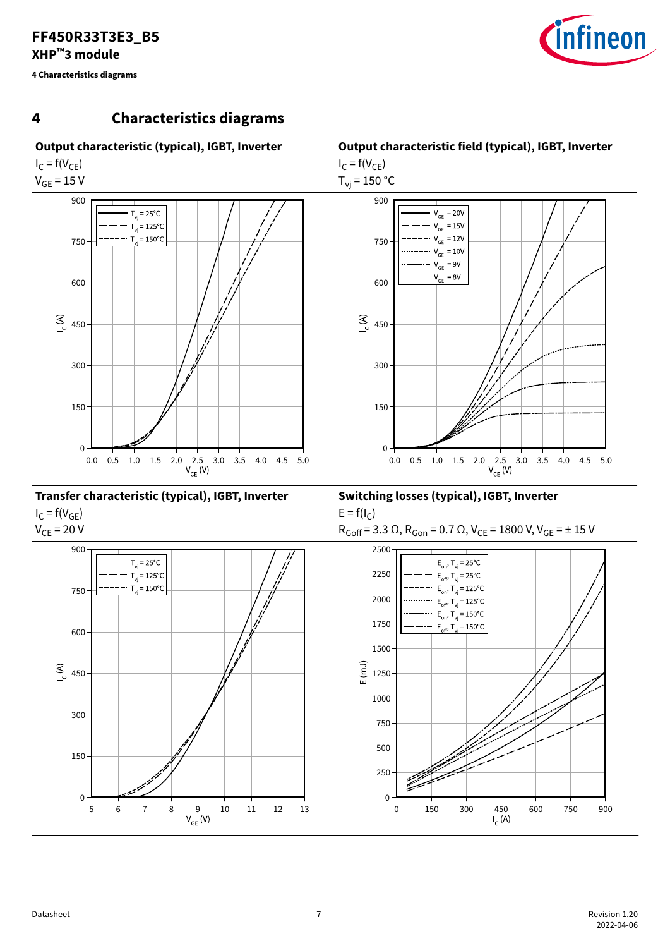<span id="page-6-0"></span>**4 Characteristics diagrams**



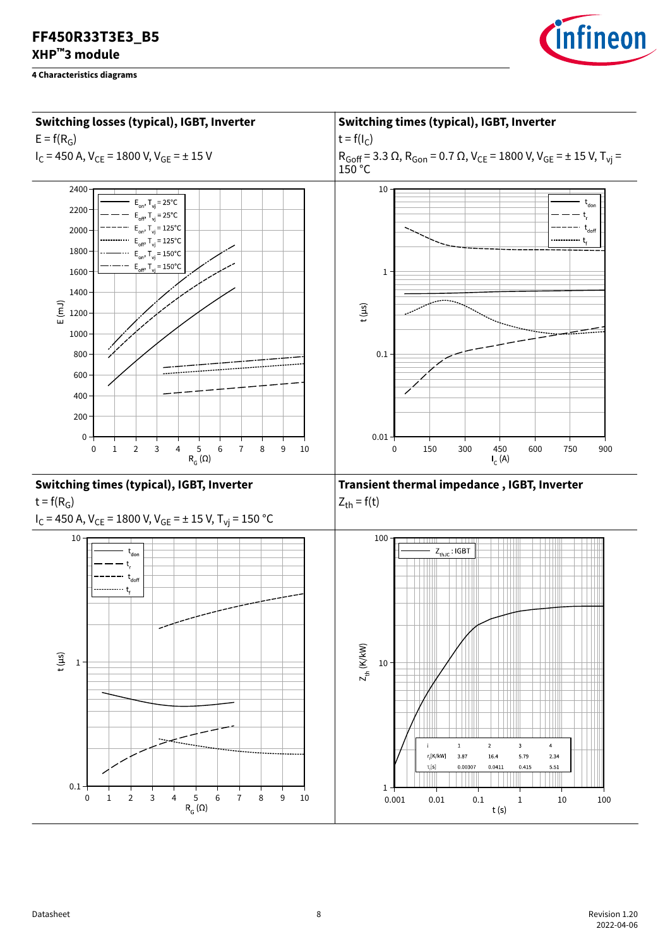



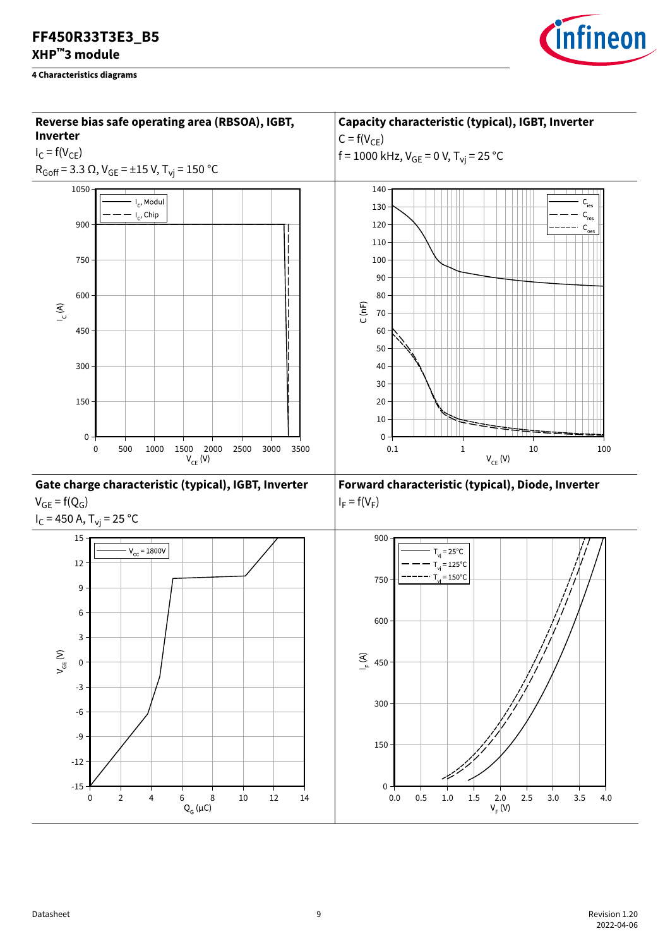

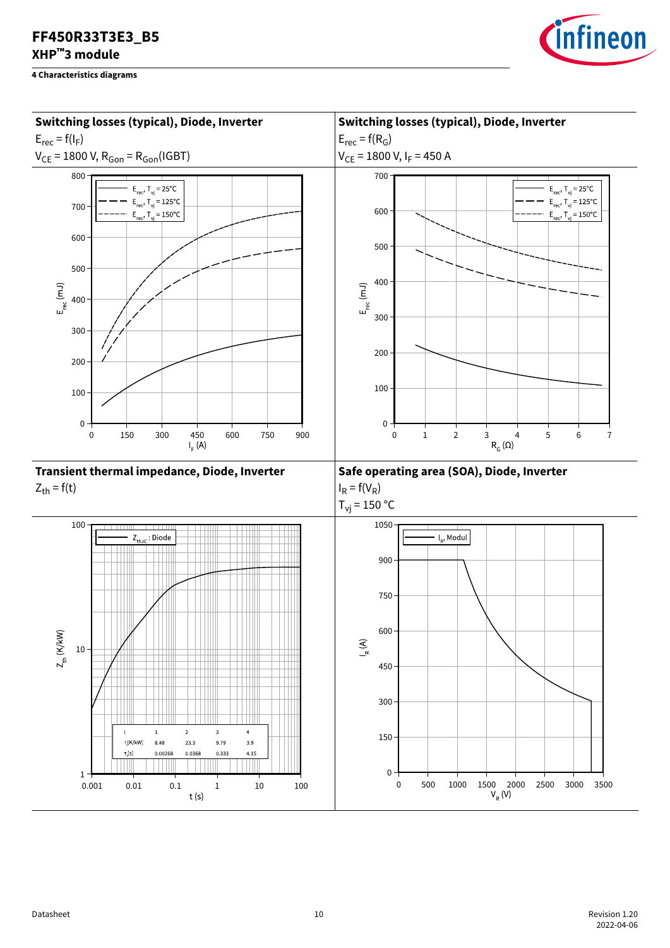

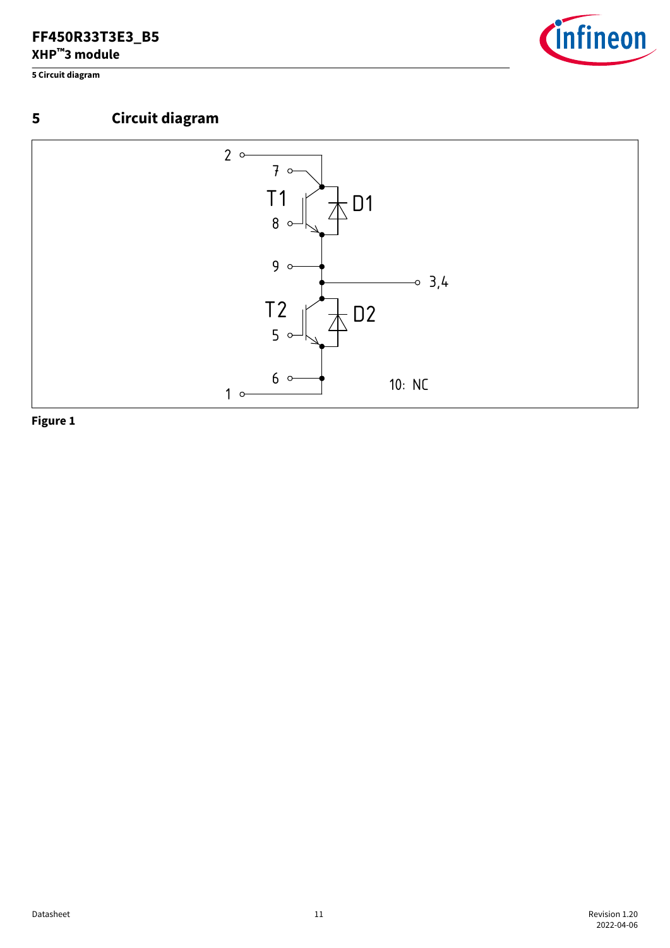<span id="page-10-0"></span>**5 Circuit diagram**







02.08.2021 Beispiel für A.Schulz aus der A.Schulz aus der A.Schulz aus der A.Schulz aus der A.Schulz aus der A

**Figure 1**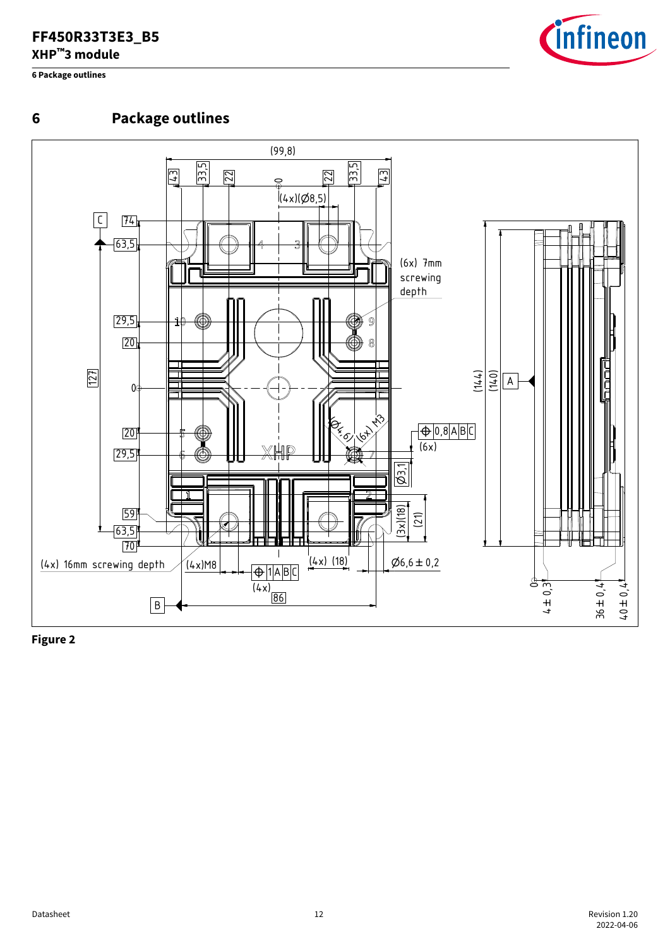<span id="page-11-0"></span>**6 Package outlines**



### **6 Package outlines**



**Figure 2**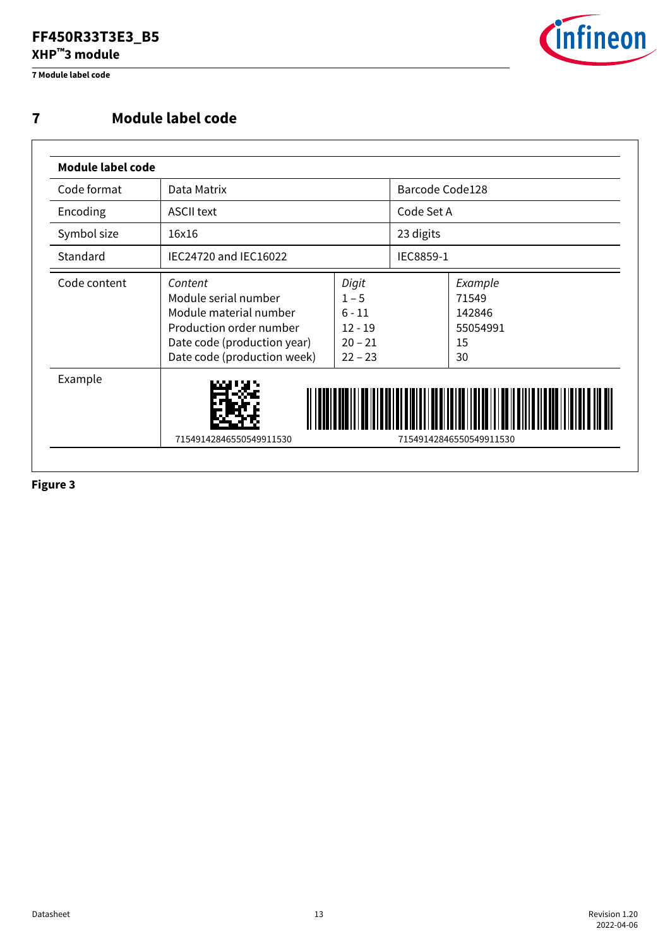<span id="page-12-0"></span>**7 Module label code**



### **7 Module label code**

| Code format  | Data Matrix                                                                                                                                        |                                                                     | Barcode Code128 |                                                    |  |
|--------------|----------------------------------------------------------------------------------------------------------------------------------------------------|---------------------------------------------------------------------|-----------------|----------------------------------------------------|--|
| Encoding     | <b>ASCII text</b>                                                                                                                                  |                                                                     | Code Set A      |                                                    |  |
| Symbol size  | 16x16                                                                                                                                              |                                                                     | 23 digits       |                                                    |  |
| Standard     | IEC24720 and IEC16022                                                                                                                              |                                                                     | IEC8859-1       |                                                    |  |
| Code content | Content<br>Module serial number<br>Module material number<br>Production order number<br>Date code (production year)<br>Date code (production week) | Digit<br>$1 - 5$<br>$6 - 11$<br>$12 - 19$<br>$20 - 21$<br>$22 - 23$ |                 | Example<br>71549<br>142846<br>55054991<br>15<br>30 |  |
| Example      | 71549142846550549911530<br>71549142846550549911530                                                                                                 |                                                                     |                 |                                                    |  |

**Figure 3**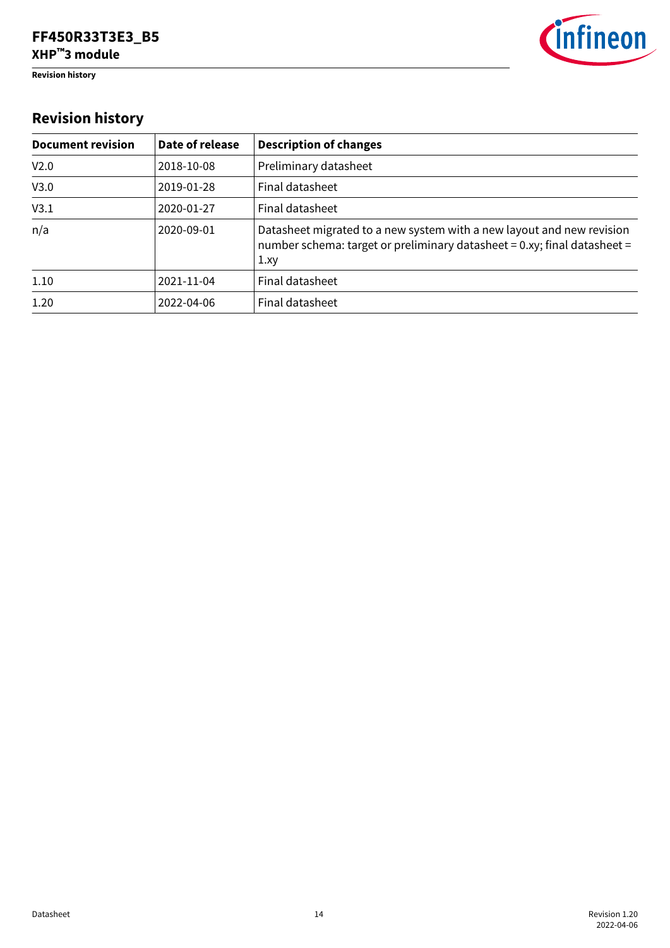<span id="page-13-0"></span>**Revision history**



# **Revision history**

| <b>Document revision</b> | Date of release | <b>Description of changes</b>                                                                                                                            |
|--------------------------|-----------------|----------------------------------------------------------------------------------------------------------------------------------------------------------|
| V <sub>2.0</sub>         | 2018-10-08      | Preliminary datasheet                                                                                                                                    |
| V3.0                     | 2019-01-28      | Final datasheet                                                                                                                                          |
| V3.1                     | 2020-01-27      | Final datasheet                                                                                                                                          |
| n/a                      | 2020-09-01      | Datasheet migrated to a new system with a new layout and new revision<br>number schema: target or preliminary datasheet = 0.xy; final datasheet =<br>1xy |
| 1.10                     | 2021-11-04      | Final datasheet                                                                                                                                          |
| 1.20                     | 2022-04-06      | Final datasheet                                                                                                                                          |